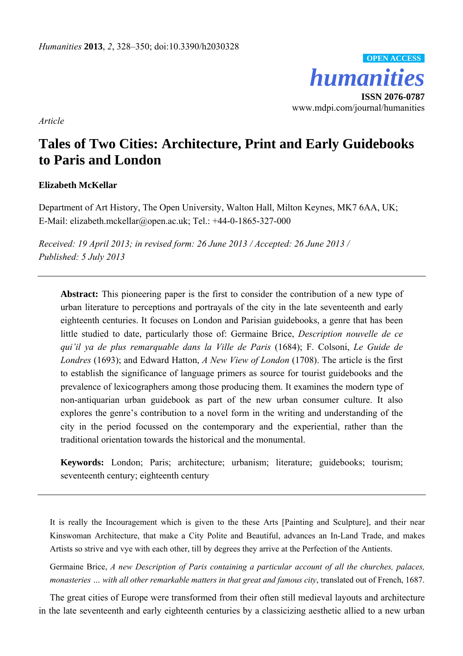

www.mdpi.com/journal/humanities

*Article* 

# **Tales of Two Cities: Architecture, Print and Early Guidebooks to Paris and London**

## **Elizabeth McKellar**

Department of Art History, The Open University, Walton Hall, Milton Keynes, MK7 6AA, UK; E-Mail: elizabeth.mckellar@open.ac.uk; Tel.: +44-0-1865-327-000

*Received: 19 April 2013; in revised form: 26 June 2013 / Accepted: 26 June 2013 / Published: 5 July 2013* 

**Abstract:** This pioneering paper is the first to consider the contribution of a new type of urban literature to perceptions and portrayals of the city in the late seventeenth and early eighteenth centuries. It focuses on London and Parisian guidebooks, a genre that has been little studied to date, particularly those of: Germaine Brice, *Description nouvelle de ce qui'il ya de plus remarquable dans la Ville de Paris* (1684); F. Colsoni, *Le Guide de Londres* (1693); and Edward Hatton, *A New View of London* (1708). The article is the first to establish the significance of language primers as source for tourist guidebooks and the prevalence of lexicographers among those producing them. It examines the modern type of non-antiquarian urban guidebook as part of the new urban consumer culture. It also explores the genre's contribution to a novel form in the writing and understanding of the city in the period focussed on the contemporary and the experiential, rather than the traditional orientation towards the historical and the monumental.

**Keywords:** London; Paris; architecture; urbanism; literature; guidebooks; tourism; seventeenth century; eighteenth century

It is really the Incouragement which is given to the these Arts [Painting and Sculpture], and their near Kinswoman Architecture, that make a City Polite and Beautiful, advances an In-Land Trade, and makes Artists so strive and vye with each other, till by degrees they arrive at the Perfection of the Antients.

Germaine Brice, *A new Description of Paris containing a particular account of all the churches, palaces, monasteries … with all other remarkable matters in that great and famous city*, translated out of French, 1687.

The great cities of Europe were transformed from their often still medieval layouts and architecture in the late seventeenth and early eighteenth centuries by a classicizing aesthetic allied to a new urban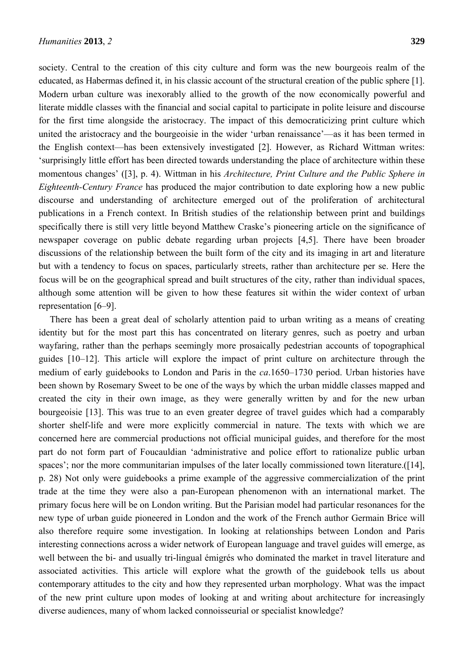society. Central to the creation of this city culture and form was the new bourgeois realm of the educated, as Habermas defined it, in his classic account of the structural creation of the public sphere [1]. Modern urban culture was inexorably allied to the growth of the now economically powerful and literate middle classes with the financial and social capital to participate in polite leisure and discourse for the first time alongside the aristocracy. The impact of this democraticizing print culture which united the aristocracy and the bourgeoisie in the wider 'urban renaissance'—as it has been termed in the English context—has been extensively investigated [2]. However, as Richard Wittman writes: 'surprisingly little effort has been directed towards understanding the place of architecture within these momentous changes' ([3], p. 4). Wittman in his *Architecture, Print Culture and the Public Sphere in Eighteenth-Century France* has produced the major contribution to date exploring how a new public discourse and understanding of architecture emerged out of the proliferation of architectural publications in a French context. In British studies of the relationship between print and buildings specifically there is still very little beyond Matthew Craske's pioneering article on the significance of newspaper coverage on public debate regarding urban projects [4,5]. There have been broader discussions of the relationship between the built form of the city and its imaging in art and literature but with a tendency to focus on spaces, particularly streets, rather than architecture per se. Here the focus will be on the geographical spread and built structures of the city, rather than individual spaces, although some attention will be given to how these features sit within the wider context of urban representation [6–9].

There has been a great deal of scholarly attention paid to urban writing as a means of creating identity but for the most part this has concentrated on literary genres, such as poetry and urban wayfaring, rather than the perhaps seemingly more prosaically pedestrian accounts of topographical guides [10–12]. This article will explore the impact of print culture on architecture through the medium of early guidebooks to London and Paris in the *ca*.1650–1730 period. Urban histories have been shown by Rosemary Sweet to be one of the ways by which the urban middle classes mapped and created the city in their own image, as they were generally written by and for the new urban bourgeoisie [13]. This was true to an even greater degree of travel guides which had a comparably shorter shelf-life and were more explicitly commercial in nature. The texts with which we are concerned here are commercial productions not official municipal guides, and therefore for the most part do not form part of Foucauldian 'administrative and police effort to rationalize public urban spaces'; nor the more communitarian impulses of the later locally commissioned town literature.([14], p. 28) Not only were guidebooks a prime example of the aggressive commercialization of the print trade at the time they were also a pan-European phenomenon with an international market. The primary focus here will be on London writing. But the Parisian model had particular resonances for the new type of urban guide pioneered in London and the work of the French author Germain Brice will also therefore require some investigation. In looking at relationships between London and Paris interesting connections across a wider network of European language and travel guides will emerge, as well between the bi- and usually tri-lingual émigrés who dominated the market in travel literature and associated activities. This article will explore what the growth of the guidebook tells us about contemporary attitudes to the city and how they represented urban morphology. What was the impact of the new print culture upon modes of looking at and writing about architecture for increasingly diverse audiences, many of whom lacked connoisseurial or specialist knowledge?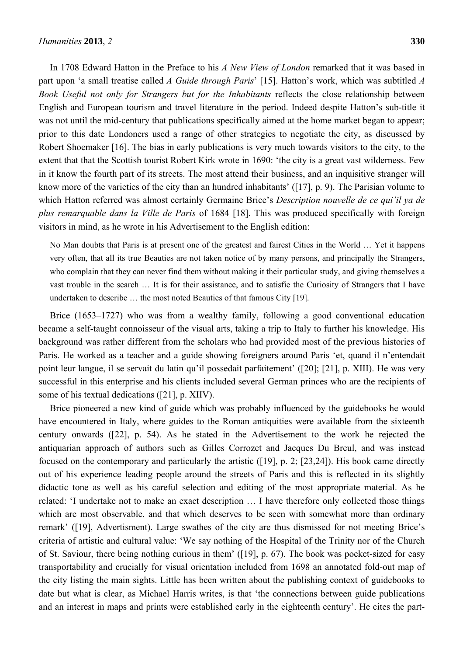In 1708 Edward Hatton in the Preface to his *A New View of London* remarked that it was based in part upon 'a small treatise called *A Guide through Paris*' [15]. Hatton's work, which was subtitled *A Book Useful not only for Strangers but for the Inhabitants* reflects the close relationship between English and European tourism and travel literature in the period. Indeed despite Hatton's sub-title it was not until the mid-century that publications specifically aimed at the home market began to appear; prior to this date Londoners used a range of other strategies to negotiate the city, as discussed by Robert Shoemaker [16]. The bias in early publications is very much towards visitors to the city, to the extent that that the Scottish tourist Robert Kirk wrote in 1690: 'the city is a great vast wilderness. Few in it know the fourth part of its streets. The most attend their business, and an inquisitive stranger will know more of the varieties of the city than an hundred inhabitants' ([17], p. 9). The Parisian volume to which Hatton referred was almost certainly Germaine Brice's *Description nouvelle de ce qui'il ya de plus remarquable dans la Ville de Paris* of 1684 [18]. This was produced specifically with foreign visitors in mind, as he wrote in his Advertisement to the English edition:

No Man doubts that Paris is at present one of the greatest and fairest Cities in the World … Yet it happens very often, that all its true Beauties are not taken notice of by many persons, and principally the Strangers, who complain that they can never find them without making it their particular study, and giving themselves a vast trouble in the search … It is for their assistance, and to satisfie the Curiosity of Strangers that I have undertaken to describe … the most noted Beauties of that famous City [19].

Brice (1653–1727) who was from a wealthy family, following a good conventional education became a self-taught connoisseur of the visual arts, taking a trip to Italy to further his knowledge. His background was rather different from the scholars who had provided most of the previous histories of Paris. He worked as a teacher and a guide showing foreigners around Paris 'et, quand il n'entendait point leur langue, il se servait du latin qu'il possedait parfaitement' ([20]; [21], p. XIII). He was very successful in this enterprise and his clients included several German princes who are the recipients of some of his textual dedications ([21], p. XIIV).

Brice pioneered a new kind of guide which was probably influenced by the guidebooks he would have encountered in Italy, where guides to the Roman antiquities were available from the sixteenth century onwards ([22], p. 54). As he stated in the Advertisement to the work he rejected the antiquarian approach of authors such as Gilles Corrozet and Jacques Du Breul, and was instead focused on the contemporary and particularly the artistic ([19], p. 2; [23,24]). His book came directly out of his experience leading people around the streets of Paris and this is reflected in its slightly didactic tone as well as his careful selection and editing of the most appropriate material. As he related: 'I undertake not to make an exact description … I have therefore only collected those things which are most observable, and that which deserves to be seen with somewhat more than ordinary remark' ([19], Advertisment). Large swathes of the city are thus dismissed for not meeting Brice's criteria of artistic and cultural value: 'We say nothing of the Hospital of the Trinity nor of the Church of St. Saviour, there being nothing curious in them' ([19], p. 67). The book was pocket-sized for easy transportability and crucially for visual orientation included from 1698 an annotated fold-out map of the city listing the main sights. Little has been written about the publishing context of guidebooks to date but what is clear, as Michael Harris writes, is that 'the connections between guide publications and an interest in maps and prints were established early in the eighteenth century'. He cites the part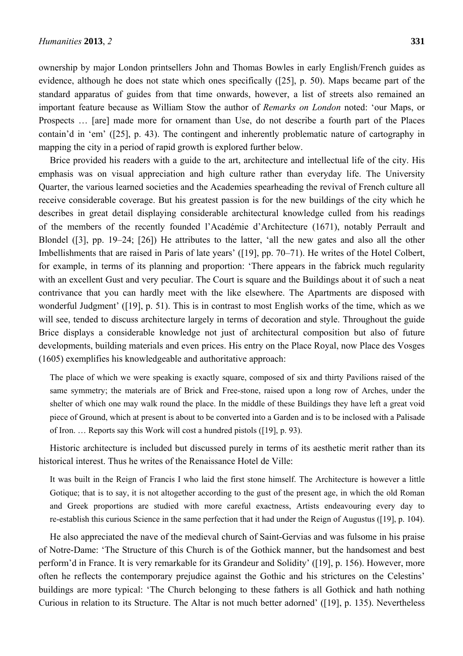ownership by major London printsellers John and Thomas Bowles in early English/French guides as evidence, although he does not state which ones specifically ([25], p. 50). Maps became part of the standard apparatus of guides from that time onwards, however, a list of streets also remained an important feature because as William Stow the author of *Remarks on London* noted: 'our Maps, or Prospects … [are] made more for ornament than Use, do not describe a fourth part of the Places contain'd in 'em' ([25], p. 43). The contingent and inherently problematic nature of cartography in mapping the city in a period of rapid growth is explored further below.

Brice provided his readers with a guide to the art, architecture and intellectual life of the city. His emphasis was on visual appreciation and high culture rather than everyday life. The University Quarter, the various learned societies and the Academies spearheading the revival of French culture all receive considerable coverage. But his greatest passion is for the new buildings of the city which he describes in great detail displaying considerable architectural knowledge culled from his readings of the members of the recently founded l'Académie d'Architecture (1671), notably Perrault and Blondel ([3], pp. 19–24; [26]) He attributes to the latter, 'all the new gates and also all the other Imbellishments that are raised in Paris of late years' ([19], pp. 70–71). He writes of the Hotel Colbert, for example, in terms of its planning and proportion: 'There appears in the fabrick much regularity with an excellent Gust and very peculiar. The Court is square and the Buildings about it of such a neat contrivance that you can hardly meet with the like elsewhere. The Apartments are disposed with wonderful Judgment' ([19], p. 51). This is in contrast to most English works of the time, which as we will see, tended to discuss architecture largely in terms of decoration and style. Throughout the guide Brice displays a considerable knowledge not just of architectural composition but also of future developments, building materials and even prices. His entry on the Place Royal, now Place des Vosges (1605) exemplifies his knowledgeable and authoritative approach:

The place of which we were speaking is exactly square, composed of six and thirty Pavilions raised of the same symmetry; the materials are of Brick and Free-stone, raised upon a long row of Arches, under the shelter of which one may walk round the place. In the middle of these Buildings they have left a great void piece of Ground, which at present is about to be converted into a Garden and is to be inclosed with a Palisade of Iron. … Reports say this Work will cost a hundred pistols ([19], p. 93).

Historic architecture is included but discussed purely in terms of its aesthetic merit rather than its historical interest. Thus he writes of the Renaissance Hotel de Ville:

It was built in the Reign of Francis I who laid the first stone himself. The Architecture is however a little Gotique; that is to say, it is not altogether according to the gust of the present age, in which the old Roman and Greek proportions are studied with more careful exactness, Artists endeavouring every day to re-establish this curious Science in the same perfection that it had under the Reign of Augustus ([19], p. 104).

He also appreciated the nave of the medieval church of Saint-Gervias and was fulsome in his praise of Notre-Dame: 'The Structure of this Church is of the Gothick manner, but the handsomest and best perform'd in France. It is very remarkable for its Grandeur and Solidity' ([19], p. 156). However, more often he reflects the contemporary prejudice against the Gothic and his strictures on the Celestins' buildings are more typical: 'The Church belonging to these fathers is all Gothick and hath nothing Curious in relation to its Structure. The Altar is not much better adorned' ([19], p. 135). Nevertheless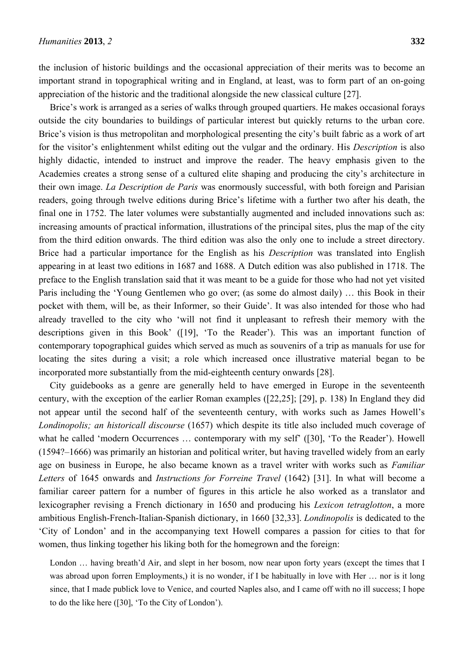the inclusion of historic buildings and the occasional appreciation of their merits was to become an important strand in topographical writing and in England, at least, was to form part of an on-going appreciation of the historic and the traditional alongside the new classical culture [27].

Brice's work is arranged as a series of walks through grouped quartiers. He makes occasional forays outside the city boundaries to buildings of particular interest but quickly returns to the urban core. Brice's vision is thus metropolitan and morphological presenting the city's built fabric as a work of art for the visitor's enlightenment whilst editing out the vulgar and the ordinary. His *Description* is also highly didactic, intended to instruct and improve the reader. The heavy emphasis given to the Academies creates a strong sense of a cultured elite shaping and producing the city's architecture in their own image. *La Description de Paris* was enormously successful, with both foreign and Parisian readers, going through twelve editions during Brice's lifetime with a further two after his death, the final one in 1752. The later volumes were substantially augmented and included innovations such as: increasing amounts of practical information, illustrations of the principal sites, plus the map of the city from the third edition onwards. The third edition was also the only one to include a street directory. Brice had a particular importance for the English as his *Description* was translated into English appearing in at least two editions in 1687 and 1688. A Dutch edition was also published in 1718. The preface to the English translation said that it was meant to be a guide for those who had not yet visited Paris including the 'Young Gentlemen who go over; (as some do almost daily) … this Book in their pocket with them, will be, as their Informer, so their Guide'. It was also intended for those who had already travelled to the city who 'will not find it unpleasant to refresh their memory with the descriptions given in this Book' ([19], 'To the Reader'). This was an important function of contemporary topographical guides which served as much as souvenirs of a trip as manuals for use for locating the sites during a visit; a role which increased once illustrative material began to be incorporated more substantially from the mid-eighteenth century onwards [28].

City guidebooks as a genre are generally held to have emerged in Europe in the seventeenth century, with the exception of the earlier Roman examples ([22,25]; [29], p. 138) In England they did not appear until the second half of the seventeenth century, with works such as James Howell's *Londinopolis; an historicall discourse* (1657) which despite its title also included much coverage of what he called 'modern Occurrences ... contemporary with my self' ([30], 'To the Reader'). Howell (1594?–1666) was primarily an historian and political writer, but having travelled widely from an early age on business in Europe, he also became known as a travel writer with works such as *Familiar Letters* of 1645 onwards and *Instructions for Forreine Travel* (1642) [31]. In what will become a familiar career pattern for a number of figures in this article he also worked as a translator and lexicographer revising a French dictionary in 1650 and producing his *Lexicon tetraglotton*, a more ambitious English-French-Italian-Spanish dictionary, in 1660 [32,33]. *Londinopolis* is dedicated to the 'City of London' and in the accompanying text Howell compares a passion for cities to that for women, thus linking together his liking both for the homegrown and the foreign:

London ... having breath'd Air, and slept in her bosom, now near upon forty years (except the times that I was abroad upon forren Employments,) it is no wonder, if I be habitually in love with Her … nor is it long since, that I made publick love to Venice, and courted Naples also, and I came off with no ill success; I hope to do the like here ([30], 'To the City of London').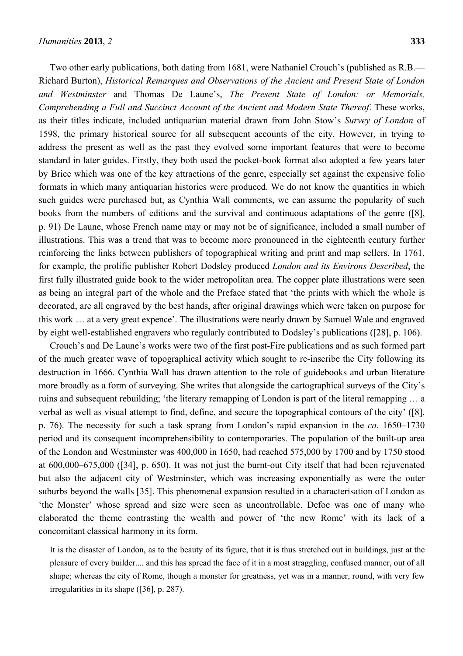Two other early publications, both dating from 1681, were Nathaniel Crouch's (published as R.B.— Richard Burton), *Historical Remarques and Observations of the Ancient and Present State of London and Westminster* and Thomas De Laune's, *The Present State of London: or Memorials, Comprehending a Full and Succinct Account of the Ancient and Modern State Thereof*. These works, as their titles indicate, included antiquarian material drawn from John Stow's *Survey of London* of 1598, the primary historical source for all subsequent accounts of the city. However, in trying to address the present as well as the past they evolved some important features that were to become standard in later guides. Firstly, they both used the pocket-book format also adopted a few years later by Brice which was one of the key attractions of the genre, especially set against the expensive folio formats in which many antiquarian histories were produced. We do not know the quantities in which such guides were purchased but, as Cynthia Wall comments, we can assume the popularity of such books from the numbers of editions and the survival and continuous adaptations of the genre ([8], p. 91) De Laune, whose French name may or may not be of significance, included a small number of illustrations. This was a trend that was to become more pronounced in the eighteenth century further reinforcing the links between publishers of topographical writing and print and map sellers. In 1761, for example, the prolific publisher Robert Dodsley produced *London and its Environs Described*, the first fully illustrated guide book to the wider metropolitan area. The copper plate illustrations were seen as being an integral part of the whole and the Preface stated that 'the prints with which the whole is decorated, are all engraved by the best hands, after original drawings which were taken on purpose for this work … at a very great expence'. The illustrations were nearly drawn by Samuel Wale and engraved by eight well-established engravers who regularly contributed to Dodsley's publications ([28], p. 106).

Crouch's and De Laune's works were two of the first post-Fire publications and as such formed part of the much greater wave of topographical activity which sought to re-inscribe the City following its destruction in 1666. Cynthia Wall has drawn attention to the role of guidebooks and urban literature more broadly as a form of surveying. She writes that alongside the cartographical surveys of the City's ruins and subsequent rebuilding; 'the literary remapping of London is part of the literal remapping … a verbal as well as visual attempt to find, define, and secure the topographical contours of the city' ([8], p. 76). The necessity for such a task sprang from London's rapid expansion in the *ca*. 1650–1730 period and its consequent incomprehensibility to contemporaries. The population of the built-up area of the London and Westminster was 400,000 in 1650, had reached 575,000 by 1700 and by 1750 stood at 600,000–675,000 ([34], p. 650). It was not just the burnt-out City itself that had been rejuvenated but also the adjacent city of Westminster, which was increasing exponentially as were the outer suburbs beyond the walls [35]. This phenomenal expansion resulted in a characterisation of London as 'the Monster' whose spread and size were seen as uncontrollable. Defoe was one of many who elaborated the theme contrasting the wealth and power of 'the new Rome' with its lack of a concomitant classical harmony in its form.

It is the disaster of London, as to the beauty of its figure, that it is thus stretched out in buildings, just at the pleasure of every builder.... and this has spread the face of it in a most straggling, confused manner, out of all shape; whereas the city of Rome, though a monster for greatness, yet was in a manner, round, with very few irregularities in its shape ([36], p. 287).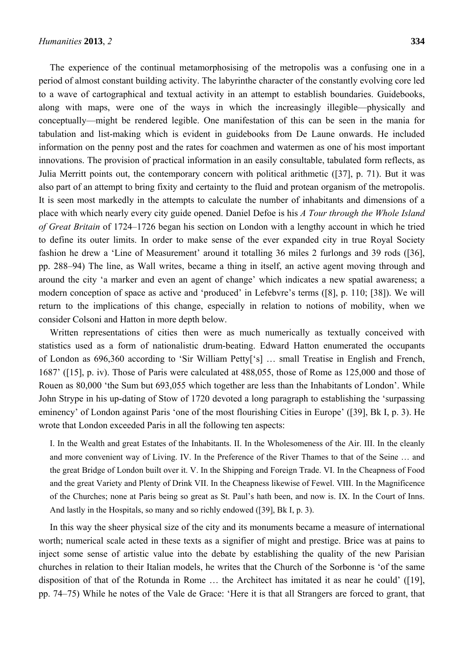The experience of the continual metamorphosising of the metropolis was a confusing one in a period of almost constant building activity. The labyrinthe character of the constantly evolving core led to a wave of cartographical and textual activity in an attempt to establish boundaries. Guidebooks, along with maps, were one of the ways in which the increasingly illegible—physically and conceptually—might be rendered legible. One manifestation of this can be seen in the mania for tabulation and list-making which is evident in guidebooks from De Laune onwards. He included information on the penny post and the rates for coachmen and watermen as one of his most important innovations. The provision of practical information in an easily consultable, tabulated form reflects, as Julia Merritt points out, the contemporary concern with political arithmetic ([37], p. 71). But it was also part of an attempt to bring fixity and certainty to the fluid and protean organism of the metropolis. It is seen most markedly in the attempts to calculate the number of inhabitants and dimensions of a place with which nearly every city guide opened. Daniel Defoe is his *A Tour through the Whole Island of Great Britain* of 1724–1726 began his section on London with a lengthy account in which he tried to define its outer limits. In order to make sense of the ever expanded city in true Royal Society fashion he drew a 'Line of Measurement' around it totalling 36 miles 2 furlongs and 39 rods ([36], pp. 288–94) The line, as Wall writes, became a thing in itself, an active agent moving through and around the city 'a marker and even an agent of change' which indicates a new spatial awareness; a modern conception of space as active and 'produced' in Lefebvre's terms ([8], p. 110; [38]). We will return to the implications of this change, especially in relation to notions of mobility, when we consider Colsoni and Hatton in more depth below.

Written representations of cities then were as much numerically as textually conceived with statistics used as a form of nationalistic drum-beating. Edward Hatton enumerated the occupants of London as 696,360 according to 'Sir William Petty['s] … small Treatise in English and French, 1687' ([15], p. iv). Those of Paris were calculated at 488,055, those of Rome as 125,000 and those of Rouen as 80,000 'the Sum but 693,055 which together are less than the Inhabitants of London'. While John Strype in his up-dating of Stow of 1720 devoted a long paragraph to establishing the 'surpassing eminency' of London against Paris 'one of the most flourishing Cities in Europe' ([39], Bk I, p. 3). He wrote that London exceeded Paris in all the following ten aspects:

I. In the Wealth and great Estates of the Inhabitants. II. In the Wholesomeness of the Air. III. In the cleanly and more convenient way of Living. IV. In the Preference of the River Thames to that of the Seine … and the great Bridge of London built over it. V. In the Shipping and Foreign Trade. VI. In the Cheapness of Food and the great Variety and Plenty of Drink VII. In the Cheapness likewise of Fewel. VIII. In the Magnificence of the Churches; none at Paris being so great as St. Paul's hath been, and now is. IX. In the Court of Inns. And lastly in the Hospitals, so many and so richly endowed ([39], Bk I, p. 3).

In this way the sheer physical size of the city and its monuments became a measure of international worth; numerical scale acted in these texts as a signifier of might and prestige. Brice was at pains to inject some sense of artistic value into the debate by establishing the quality of the new Parisian churches in relation to their Italian models, he writes that the Church of the Sorbonne is 'of the same disposition of that of the Rotunda in Rome … the Architect has imitated it as near he could' ([19], pp. 74–75) While he notes of the Vale de Grace: 'Here it is that all Strangers are forced to grant, that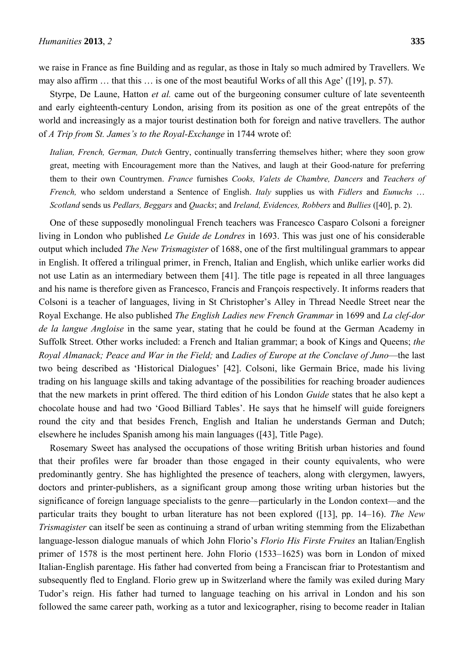we raise in France as fine Building and as regular, as those in Italy so much admired by Travellers. We may also affirm … that this … is one of the most beautiful Works of all this Age' ([19], p. 57).

Styrpe, De Laune, Hatton *et al.* came out of the burgeoning consumer culture of late seventeenth and early eighteenth-century London, arising from its position as one of the great entrepôts of the world and increasingly as a major tourist destination both for foreign and native travellers. The author of *A Trip from St. James's to the Royal-Exchange* in 1744 wrote of:

*Italian, French, German, Dutch* Gentry, continually transferring themselves hither; where they soon grow great, meeting with Encouragement more than the Natives, and laugh at their Good-nature for preferring them to their own Countrymen. *France* furnishes *Cooks, Valets de Chambre, Dancers* and *Teachers of French,* who seldom understand a Sentence of English. *Italy* supplies us with *Fidlers* and *Eunuchs* … *Scotland* sends us *Pedlars, Beggars* and *Quacks*; and *Ireland, Evidences, Robbers* and *Bullies* ([40], p. 2).

One of these supposedly monolingual French teachers was Francesco Casparo Colsoni a foreigner living in London who published *Le Guide de Londres* in 1693. This was just one of his considerable output which included *The New Trismagister* of 1688, one of the first multilingual grammars to appear in English. It offered a trilingual primer, in French, Italian and English, which unlike earlier works did not use Latin as an intermediary between them [41]. The title page is repeated in all three languages and his name is therefore given as Francesco, Francis and François respectively. It informs readers that Colsoni is a teacher of languages, living in St Christopher's Alley in Thread Needle Street near the Royal Exchange. He also published *The English Ladies new French Grammar* in 1699 and *La clef-dor de la langue Angloise* in the same year, stating that he could be found at the German Academy in Suffolk Street. Other works included: a French and Italian grammar; a book of Kings and Queens; *the Royal Almanack; Peace and War in the Field;* and *Ladies of Europe at the Conclave of Juno*—the last two being described as 'Historical Dialogues' [42]. Colsoni, like Germain Brice, made his living trading on his language skills and taking advantage of the possibilities for reaching broader audiences that the new markets in print offered. The third edition of his London *Guide* states that he also kept a chocolate house and had two 'Good Billiard Tables'. He says that he himself will guide foreigners round the city and that besides French, English and Italian he understands German and Dutch; elsewhere he includes Spanish among his main languages ([43], Title Page).

Rosemary Sweet has analysed the occupations of those writing British urban histories and found that their profiles were far broader than those engaged in their county equivalents, who were predominantly gentry. She has highlighted the presence of teachers, along with clergymen, lawyers, doctors and printer-publishers, as a significant group among those writing urban histories but the significance of foreign language specialists to the genre—particularly in the London context—and the particular traits they bought to urban literature has not been explored ([13], pp. 14–16). *The New Trismagister* can itself be seen as continuing a strand of urban writing stemming from the Elizabethan language-lesson dialogue manuals of which John Florio's *Florio His Firste Fruites* an Italian/English primer of 1578 is the most pertinent here. John Florio (1533–1625) was born in London of mixed Italian-English parentage. His father had converted from being a Franciscan friar to Protestantism and subsequently fled to England. Florio grew up in Switzerland where the family was exiled during Mary Tudor's reign. His father had turned to language teaching on his arrival in London and his son followed the same career path, working as a tutor and lexicographer, rising to become reader in Italian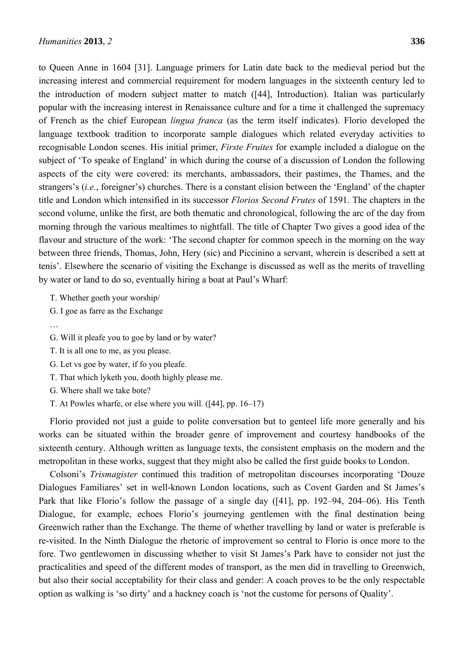to Queen Anne in 1604 [31]. Language primers for Latin date back to the medieval period but the increasing interest and commercial requirement for modern languages in the sixteenth century led to the introduction of modern subject matter to match ([44], Introduction). Italian was particularly popular with the increasing interest in Renaissance culture and for a time it challenged the supremacy of French as the chief European *lingua franca* (as the term itself indicates). Florio developed the language textbook tradition to incorporate sample dialogues which related everyday activities to recognisable London scenes. His initial primer, *Firste Fruites* for example included a dialogue on the subject of 'To speake of England' in which during the course of a discussion of London the following aspects of the city were covered: its merchants, ambassadors, their pastimes, the Thames, and the strangers's (*i.e.*, foreigner's) churches. There is a constant elision between the 'England' of the chapter title and London which intensified in its successor *Florios Second Frutes* of 1591. The chapters in the second volume, unlike the first, are both thematic and chronological, following the arc of the day from morning through the various mealtimes to nightfall. The title of Chapter Two gives a good idea of the flavour and structure of the work: 'The second chapter for common speech in the morning on the way between three friends, Thomas, John, Hery (sic) and Piccinino a servant, wherein is described a sett at tenis'. Elsewhere the scenario of visiting the Exchange is discussed as well as the merits of travelling by water or land to do so, eventually hiring a boat at Paul's Wharf:

- T. Whether goeth your worship/
- G. I goe as farre as the Exchange
- …
- G. Will it pleafe you to goe by land or by water?
- T. It is all one to me, as you please.
- G. Let vs goe by water, if fo you pleafe.
- T. That which lyketh you, dooth highly please me.
- G. Where shall we take bote?
- T. At Powles wharfe, or else where you will. ([44], pp. 16–17)

Florio provided not just a guide to polite conversation but to genteel life more generally and his works can be situated within the broader genre of improvement and courtesy handbooks of the sixteenth century. Although written as language texts, the consistent emphasis on the modern and the metropolitan in these works, suggest that they might also be called the first guide books to London.

Colsoni's *Trismagister* continued this tradition of metropolitan discourses incorporating 'Douze Dialogues Familiares' set in well-known London locations, such as Covent Garden and St James's Park that like Florio's follow the passage of a single day ([41], pp. 192–94, 204–06). His Tenth Dialogue, for example, echoes Florio's journeying gentlemen with the final destination being Greenwich rather than the Exchange. The theme of whether travelling by land or water is preferable is re-visited. In the Ninth Dialogue the rhetoric of improvement so central to Florio is once more to the fore. Two gentlewomen in discussing whether to visit St James's Park have to consider not just the practicalities and speed of the different modes of transport, as the men did in travelling to Greenwich, but also their social acceptability for their class and gender: A coach proves to be the only respectable option as walking is 'so dirty' and a hackney coach is 'not the custome for persons of Quality'.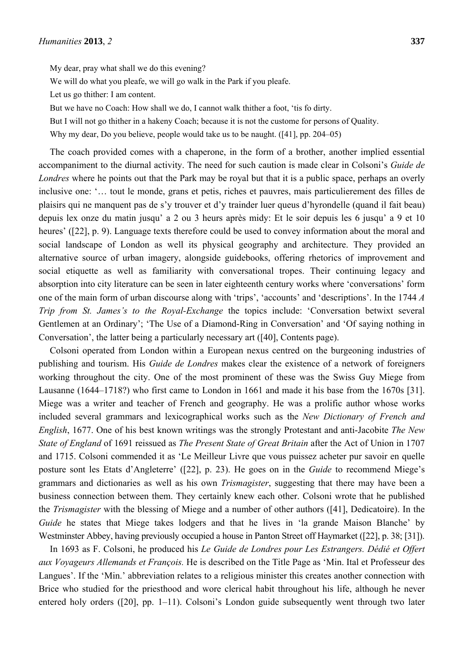My dear, pray what shall we do this evening?

We will do what you pleafe, we will go walk in the Park if you pleafe.

Let us go thither: I am content.

But we have no Coach: How shall we do, I cannot walk thither a foot, 'tis fo dirty.

But I will not go thither in a hakeny Coach; because it is not the custome for persons of Quality.

Why my dear, Do you believe, people would take us to be naught. ([41], pp. 204–05)

The coach provided comes with a chaperone, in the form of a brother, another implied essential accompaniment to the diurnal activity. The need for such caution is made clear in Colsoni's *Guide de Londres* where he points out that the Park may be royal but that it is a public space, perhaps an overly inclusive one: '… tout le monde, grans et petis, riches et pauvres, mais particulierement des filles de plaisirs qui ne manquent pas de s'y trouver et d'y trainder luer queus d'hyrondelle (quand il fait beau) depuis lex onze du matin jusqu' a 2 ou 3 heurs après midy: Et le soir depuis les 6 jusqu' a 9 et 10 heures' ([22], p. 9). Language texts therefore could be used to convey information about the moral and social landscape of London as well its physical geography and architecture. They provided an alternative source of urban imagery, alongside guidebooks, offering rhetorics of improvement and social etiquette as well as familiarity with conversational tropes. Their continuing legacy and absorption into city literature can be seen in later eighteenth century works where 'conversations' form one of the main form of urban discourse along with 'trips', 'accounts' and 'descriptions'. In the 1744 *A Trip from St. James's to the Royal-Exchange* the topics include: 'Conversation betwixt several Gentlemen at an Ordinary'; 'The Use of a Diamond-Ring in Conversation' and 'Of saying nothing in Conversation', the latter being a particularly necessary art ([40], Contents page).

Colsoni operated from London within a European nexus centred on the burgeoning industries of publishing and tourism. His *Guide de Londres* makes clear the existence of a network of foreigners working throughout the city. One of the most prominent of these was the Swiss Guy Miege from Lausanne (1644–1718?) who first came to London in 1661 and made it his base from the 1670s [31]. Miege was a writer and teacher of French and geography. He was a prolific author whose works included several grammars and lexicographical works such as the *New Dictionary of French and English*, 1677. One of his best known writings was the strongly Protestant and anti-Jacobite *The New State of England* of 1691 reissued as *The Present State of Great Britain* after the Act of Union in 1707 and 1715. Colsoni commended it as 'Le Meilleur Livre que vous puissez acheter pur savoir en quelle posture sont les Etats d'Angleterre' ([22], p. 23). He goes on in the *Guide* to recommend Miege's grammars and dictionaries as well as his own *Trismagister*, suggesting that there may have been a business connection between them. They certainly knew each other. Colsoni wrote that he published the *Trismagister* with the blessing of Miege and a number of other authors ([41], Dedicatoire). In the *Guide* he states that Miege takes lodgers and that he lives in 'la grande Maison Blanche' by Westminster Abbey, having previously occupied a house in Panton Street off Haymarket ([22], p. 38; [31]).

In 1693 as F. Colsoni, he produced his *Le Guide de Londres pour Les Estrangers. Dédié et Offert aux Voyageurs Allemands et François.* He is described on the Title Page as 'Min. Ital et Professeur des Langues'. If the 'Min.' abbreviation relates to a religious minister this creates another connection with Brice who studied for the priesthood and wore clerical habit throughout his life, although he never entered holy orders ([20], pp. 1–11). Colsoni's London guide subsequently went through two later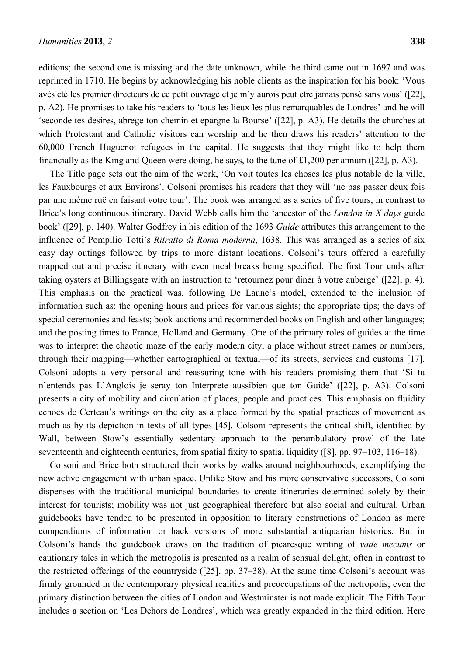editions; the second one is missing and the date unknown, while the third came out in 1697 and was reprinted in 1710. He begins by acknowledging his noble clients as the inspiration for his book: 'Vous avés eté les premier directeurs de ce petit ouvrage et je m'y aurois peut etre jamais pensé sans vous' ([22], p. A2). He promises to take his readers to 'tous les lieux les plus remarquables de Londres' and he will 'seconde tes desires, abrege ton chemin et epargne la Bourse' ([22], p. A3). He details the churches at which Protestant and Catholic visitors can worship and he then draws his readers' attention to the 60,000 French Huguenot refugees in the capital. He suggests that they might like to help them financially as the King and Queen were doing, he says, to the tune of £1,200 per annum ([22], p. A3).

The Title page sets out the aim of the work, 'On voit toutes les choses les plus notable de la ville, les Fauxbourgs et aux Environs'. Colsoni promises his readers that they will 'ne pas passer deux fois par une mème ruë en faisant votre tour'. The book was arranged as a series of five tours, in contrast to Brice's long continuous itinerary. David Webb calls him the 'ancestor of the *London in X days* guide book' ([29], p. 140). Walter Godfrey in his edition of the 1693 *Guide* attributes this arrangement to the influence of Pompilio Totti's *Ritratto di Roma moderna*, 1638. This was arranged as a series of six easy day outings followed by trips to more distant locations. Colsoni's tours offered a carefully mapped out and precise itinerary with even meal breaks being specified. The first Tour ends after taking oysters at Billingsgate with an instruction to 'retournez pour diner à votre auberge' ([22], p. 4). This emphasis on the practical was, following De Laune's model, extended to the inclusion of information such as: the opening hours and prices for various sights; the appropriate tips; the days of special ceremonies and feasts; book auctions and recommended books on English and other languages; and the posting times to France, Holland and Germany. One of the primary roles of guides at the time was to interpret the chaotic maze of the early modern city, a place without street names or numbers, through their mapping—whether cartographical or textual—of its streets, services and customs [17]. Colsoni adopts a very personal and reassuring tone with his readers promising them that 'Si tu n'entends pas L'Anglois je seray ton Interprete aussibien que ton Guide' ([22], p. A3). Colsoni presents a city of mobility and circulation of places, people and practices. This emphasis on fluidity echoes de Certeau's writings on the city as a place formed by the spatial practices of movement as much as by its depiction in texts of all types [45]. Colsoni represents the critical shift, identified by Wall, between Stow's essentially sedentary approach to the perambulatory prowl of the late seventeenth and eighteenth centuries, from spatial fixity to spatial liquidity ([8], pp. 97–103, 116–18).

Colsoni and Brice both structured their works by walks around neighbourhoods, exemplifying the new active engagement with urban space. Unlike Stow and his more conservative successors, Colsoni dispenses with the traditional municipal boundaries to create itineraries determined solely by their interest for tourists; mobility was not just geographical therefore but also social and cultural. Urban guidebooks have tended to be presented in opposition to literary constructions of London as mere compendiums of information or hack versions of more substantial antiquarian histories. But in Colsoni's hands the guidebook draws on the tradition of picaresque writing of *vade mecums* or cautionary tales in which the metropolis is presented as a realm of sensual delight, often in contrast to the restricted offerings of the countryside ([25], pp. 37–38). At the same time Colsoni's account was firmly grounded in the contemporary physical realities and preoccupations of the metropolis; even the primary distinction between the cities of London and Westminster is not made explicit. The Fifth Tour includes a section on 'Les Dehors de Londres', which was greatly expanded in the third edition. Here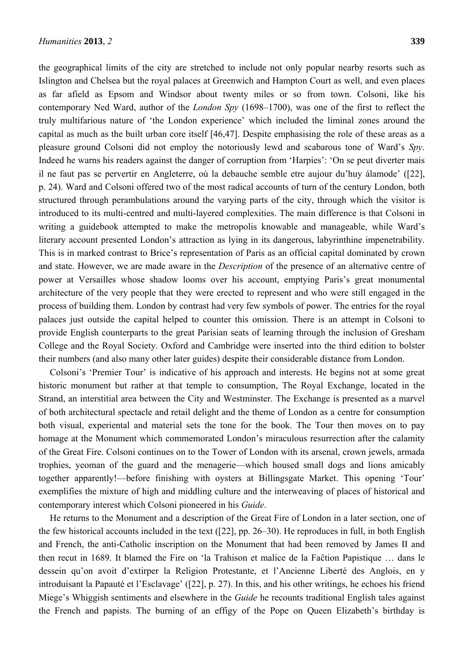the geographical limits of the city are stretched to include not only popular nearby resorts such as Islington and Chelsea but the royal palaces at Greenwich and Hampton Court as well, and even places as far afield as Epsom and Windsor about twenty miles or so from town. Colsoni, like his contemporary Ned Ward, author of the *London Spy* (1698–1700), was one of the first to reflect the truly multifarious nature of 'the London experience' which included the liminal zones around the capital as much as the built urban core itself [46,47]. Despite emphasising the role of these areas as a pleasure ground Colsoni did not employ the notoriously lewd and scabarous tone of Ward's *Spy*. Indeed he warns his readers against the danger of corruption from 'Harpies': 'On se peut diverter mais il ne faut pas se pervertir en Angleterre, où la debauche semble etre aujour du'huy álamode' ([22], p. 24). Ward and Colsoni offered two of the most radical accounts of turn of the century London, both structured through perambulations around the varying parts of the city, through which the visitor is introduced to its multi-centred and multi-layered complexities. The main difference is that Colsoni in writing a guidebook attempted to make the metropolis knowable and manageable, while Ward's literary account presented London's attraction as lying in its dangerous, labyrinthine impenetrability. This is in marked contrast to Brice's representation of Paris as an official capital dominated by crown and state. However, we are made aware in the *Description* of the presence of an alternative centre of power at Versailles whose shadow looms over his account, emptying Paris's great monumental architecture of the very people that they were erected to represent and who were still engaged in the process of building them. London by contrast had very few symbols of power. The entries for the royal palaces just outside the capital helped to counter this omission. There is an attempt in Colsoni to provide English counterparts to the great Parisian seats of learning through the inclusion of Gresham College and the Royal Society. Oxford and Cambridge were inserted into the third edition to bolster their numbers (and also many other later guides) despite their considerable distance from London.

Colsoni's 'Premier Tour' is indicative of his approach and interests. He begins not at some great historic monument but rather at that temple to consumption, The Royal Exchange, located in the Strand, an interstitial area between the City and Westminster. The Exchange is presented as a marvel of both architectural spectacle and retail delight and the theme of London as a centre for consumption both visual, experiental and material sets the tone for the book. The Tour then moves on to pay homage at the Monument which commemorated London's miraculous resurrection after the calamity of the Great Fire. Colsoni continues on to the Tower of London with its arsenal, crown jewels, armada trophies, yeoman of the guard and the menagerie—which housed small dogs and lions amicably together apparently!—before finishing with oysters at Billingsgate Market. This opening 'Tour' exemplifies the mixture of high and middling culture and the interweaving of places of historical and contemporary interest which Colsoni pioneered in his *Guide*.

He returns to the Monument and a description of the Great Fire of London in a later section, one of the few historical accounts included in the text ([22], pp. 26–30). He reproduces in full, in both English and French, the anti-Catholic inscription on the Monument that had been removed by James II and then recut in 1689. It blamed the Fire on 'la Trahison et malice de la Faĉtion Papistique … dans le dessein qu'on avoit d'extirper la Religion Protestante, et l'Ancienne Liberté des Anglois, en y introduisant la Papauté et l'Esclavage' ([22], p. 27). In this, and his other writings, he echoes his friend Miege's Whiggish sentiments and elsewhere in the *Guide* he recounts traditional English tales against the French and papists. The burning of an effigy of the Pope on Queen Elizabeth's birthday is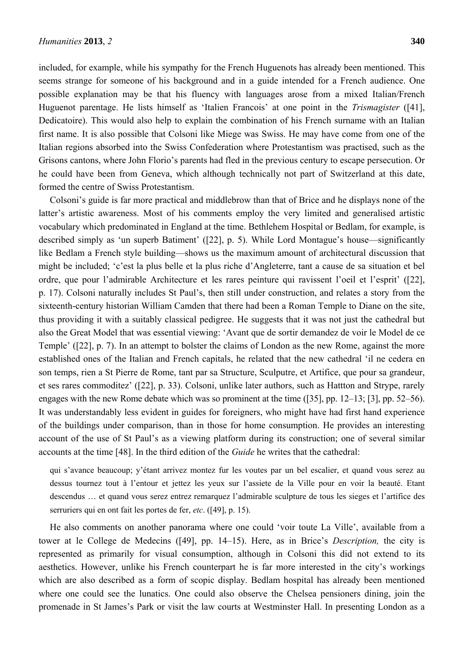included, for example, while his sympathy for the French Huguenots has already been mentioned. This seems strange for someone of his background and in a guide intended for a French audience. One possible explanation may be that his fluency with languages arose from a mixed Italian/French Huguenot parentage. He lists himself as 'Italien Francois' at one point in the *Trismagister* ([41], Dedicatoire). This would also help to explain the combination of his French surname with an Italian first name. It is also possible that Colsoni like Miege was Swiss. He may have come from one of the Italian regions absorbed into the Swiss Confederation where Protestantism was practised, such as the Grisons cantons, where John Florio's parents had fled in the previous century to escape persecution. Or he could have been from Geneva, which although technically not part of Switzerland at this date, formed the centre of Swiss Protestantism.

Colsoni's guide is far more practical and middlebrow than that of Brice and he displays none of the latter's artistic awareness. Most of his comments employ the very limited and generalised artistic vocabulary which predominated in England at the time. Bethlehem Hospital or Bedlam, for example, is described simply as 'un superb Batiment' ([22], p. 5). While Lord Montague's house—significantly like Bedlam a French style building—shows us the maximum amount of architectural discussion that might be included; 'c'est la plus belle et la plus riche d'Angleterre, tant a cause de sa situation et bel ordre, que pour l'admirable Architecture et les rares peinture qui ravissent l'oeil et l'esprit' ([22], p. 17). Colsoni naturally includes St Paul's, then still under construction, and relates a story from the sixteenth-century historian William Camden that there had been a Roman Temple to Diane on the site, thus providing it with a suitably classical pedigree. He suggests that it was not just the cathedral but also the Great Model that was essential viewing: 'Avant que de sortir demandez de voir le Model de ce Temple' ([22], p. 7). In an attempt to bolster the claims of London as the new Rome, against the more established ones of the Italian and French capitals, he related that the new cathedral 'il ne cedera en son temps, rien a St Pierre de Rome, tant par sa Structure, Sculputre, et Artifice, que pour sa grandeur, et ses rares commoditez' ([22], p. 33). Colsoni, unlike later authors, such as Hattton and Strype, rarely engages with the new Rome debate which was so prominent at the time ([35], pp. 12–13; [3], pp. 52–56). It was understandably less evident in guides for foreigners, who might have had first hand experience of the buildings under comparison, than in those for home consumption. He provides an interesting account of the use of St Paul's as a viewing platform during its construction; one of several similar accounts at the time [48]. In the third edition of the *Guide* he writes that the cathedral:

qui s'avance beaucoup; y'étant arrivez montez fur les voutes par un bel escalier, et quand vous serez au dessus tournez tout à l'entour et jettez les yeux sur l'assiete de la Ville pour en voir la beauté. Etant descendus … et quand vous serez entrez remarquez l'admirable sculpture de tous les sieges et l'artifice des serruriers qui en ont fait les portes de fer, *etc*. ([49], p. 15).

He also comments on another panorama where one could 'voir toute La Ville', available from a tower at le College de Medecins ([49], pp. 14–15). Here, as in Brice's *Description,* the city is represented as primarily for visual consumption, although in Colsoni this did not extend to its aesthetics. However, unlike his French counterpart he is far more interested in the city's workings which are also described as a form of scopic display. Bedlam hospital has already been mentioned where one could see the lunatics. One could also observe the Chelsea pensioners dining, join the promenade in St James's Park or visit the law courts at Westminster Hall. In presenting London as a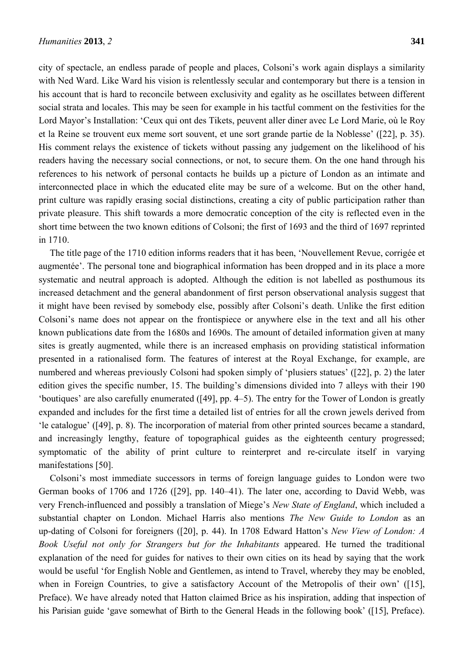city of spectacle, an endless parade of people and places, Colsoni's work again displays a similarity with Ned Ward. Like Ward his vision is relentlessly secular and contemporary but there is a tension in his account that is hard to reconcile between exclusivity and egality as he oscillates between different social strata and locales. This may be seen for example in his tactful comment on the festivities for the Lord Mayor's Installation: 'Ceux qui ont des Tikets, peuvent aller diner avec Le Lord Marie, où le Roy et la Reine se trouvent eux meme sort souvent, et une sort grande partie de la Noblesse' ([22], p. 35). His comment relays the existence of tickets without passing any judgement on the likelihood of his readers having the necessary social connections, or not, to secure them. On the one hand through his references to his network of personal contacts he builds up a picture of London as an intimate and interconnected place in which the educated elite may be sure of a welcome. But on the other hand, print culture was rapidly erasing social distinctions, creating a city of public participation rather than private pleasure. This shift towards a more democratic conception of the city is reflected even in the short time between the two known editions of Colsoni; the first of 1693 and the third of 1697 reprinted in 1710.

The title page of the 1710 edition informs readers that it has been, 'Nouvellement Revue, corrigée et augmentée'. The personal tone and biographical information has been dropped and in its place a more systematic and neutral approach is adopted. Although the edition is not labelled as posthumous its increased detachment and the general abandonment of first person observational analysis suggest that it might have been revised by somebody else, possibly after Colsoni's death. Unlike the first edition Colsoni's name does not appear on the frontispiece or anywhere else in the text and all his other known publications date from the 1680s and 1690s. The amount of detailed information given at many sites is greatly augmented, while there is an increased emphasis on providing statistical information presented in a rationalised form. The features of interest at the Royal Exchange, for example, are numbered and whereas previously Colsoni had spoken simply of 'plusiers statues' ([22], p. 2) the later edition gives the specific number, 15. The building's dimensions divided into 7 alleys with their 190 'boutiques' are also carefully enumerated ([49], pp. 4–5). The entry for the Tower of London is greatly expanded and includes for the first time a detailed list of entries for all the crown jewels derived from 'le catalogue' ([49], p. 8). The incorporation of material from other printed sources became a standard, and increasingly lengthy, feature of topographical guides as the eighteenth century progressed; symptomatic of the ability of print culture to reinterpret and re-circulate itself in varying manifestations [50].

Colsoni's most immediate successors in terms of foreign language guides to London were two German books of 1706 and 1726 ([29], pp. 140–41). The later one, according to David Webb, was very French-influenced and possibly a translation of Miege's *New State of England*, which included a substantial chapter on London. Michael Harris also mentions *The New Guide to London* as an up-dating of Colsoni for foreigners ([20], p. 44). In 1708 Edward Hatton's *New View of London: A Book Useful not only for Strangers but for the Inhabitants* appeared. He turned the traditional explanation of the need for guides for natives to their own cities on its head by saying that the work would be useful 'for English Noble and Gentlemen, as intend to Travel, whereby they may be enobled, when in Foreign Countries, to give a satisfactory Account of the Metropolis of their own' ([15], Preface). We have already noted that Hatton claimed Brice as his inspiration, adding that inspection of his Parisian guide 'gave somewhat of Birth to the General Heads in the following book' ([15], Preface).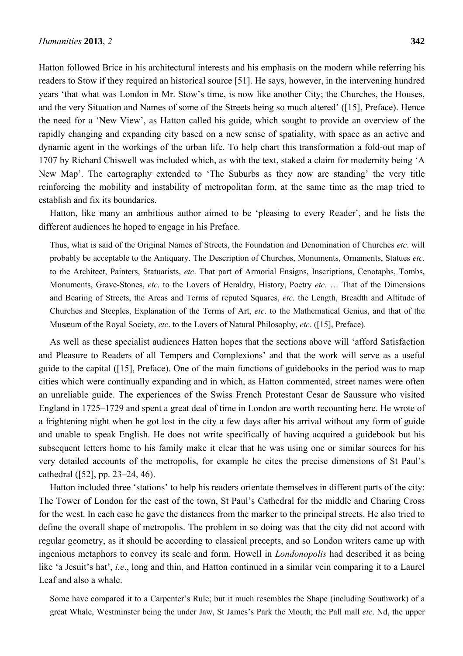Hatton followed Brice in his architectural interests and his emphasis on the modern while referring his readers to Stow if they required an historical source [51]. He says, however, in the intervening hundred years 'that what was London in Mr. Stow's time, is now like another City; the Churches, the Houses, and the very Situation and Names of some of the Streets being so much altered' ([15], Preface). Hence the need for a 'New View', as Hatton called his guide, which sought to provide an overview of the rapidly changing and expanding city based on a new sense of spatiality, with space as an active and dynamic agent in the workings of the urban life. To help chart this transformation a fold-out map of 1707 by Richard Chiswell was included which, as with the text, staked a claim for modernity being 'A New Map'. The cartography extended to 'The Suburbs as they now are standing' the very title reinforcing the mobility and instability of metropolitan form, at the same time as the map tried to establish and fix its boundaries.

Hatton, like many an ambitious author aimed to be 'pleasing to every Reader', and he lists the different audiences he hoped to engage in his Preface.

Thus, what is said of the Original Names of Streets, the Foundation and Denomination of Churches *etc*. will probably be acceptable to the Antiquary. The Description of Churches, Monuments, Ornaments, Statues *etc*. to the Architect, Painters, Statuarists, *etc*. That part of Armorial Ensigns, Inscriptions, Cenotaphs, Tombs, Monuments, Grave-Stones, *etc*. to the Lovers of Heraldry, History, Poetry *etc*. … That of the Dimensions and Bearing of Streets, the Areas and Terms of reputed Squares, *etc*. the Length, Breadth and Altitude of Churches and Steeples, Explanation of the Terms of Art, *etc*. to the Mathematical Genius, and that of the Musæum of the Royal Society, *etc*. to the Lovers of Natural Philosophy, *etc*. ([15], Preface).

As well as these specialist audiences Hatton hopes that the sections above will 'afford Satisfaction and Pleasure to Readers of all Tempers and Complexions' and that the work will serve as a useful guide to the capital ([15], Preface). One of the main functions of guidebooks in the period was to map cities which were continually expanding and in which, as Hatton commented, street names were often an unreliable guide. The experiences of the Swiss French Protestant Cesar de Saussure who visited England in 1725–1729 and spent a great deal of time in London are worth recounting here. He wrote of a frightening night when he got lost in the city a few days after his arrival without any form of guide and unable to speak English. He does not write specifically of having acquired a guidebook but his subsequent letters home to his family make it clear that he was using one or similar sources for his very detailed accounts of the metropolis, for example he cites the precise dimensions of St Paul's cathedral ([52], pp. 23–24, 46).

Hatton included three 'stations' to help his readers orientate themselves in different parts of the city: The Tower of London for the east of the town, St Paul's Cathedral for the middle and Charing Cross for the west. In each case he gave the distances from the marker to the principal streets. He also tried to define the overall shape of metropolis. The problem in so doing was that the city did not accord with regular geometry, as it should be according to classical precepts, and so London writers came up with ingenious metaphors to convey its scale and form. Howell in *Londonopolis* had described it as being like 'a Jesuit's hat', *i.e*., long and thin, and Hatton continued in a similar vein comparing it to a Laurel Leaf and also a whale.

Some have compared it to a Carpenter's Rule; but it much resembles the Shape (including Southwork) of a great Whale, Westminster being the under Jaw, St James's Park the Mouth; the Pall mall *etc*. Nd, the upper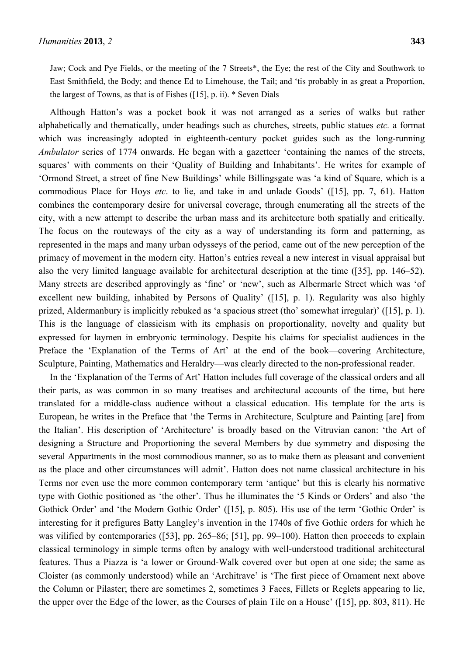Jaw; Cock and Pye Fields, or the meeting of the 7 Streets\*, the Eye; the rest of the City and Southwork to East Smithfield, the Body; and thence Ed to Limehouse, the Tail; and 'tis probably in as great a Proportion, the largest of Towns, as that is of Fishes ([15], p. ii). \* Seven Dials

Although Hatton's was a pocket book it was not arranged as a series of walks but rather alphabetically and thematically, under headings such as churches, streets, public statues *etc.* a format which was increasingly adopted in eighteenth-century pocket guides such as the long-running *Ambulator* series of 1774 onwards. He began with a gazetteer 'containing the names of the streets, squares' with comments on their 'Quality of Building and Inhabitants'. He writes for example of 'Ormond Street, a street of fine New Buildings' while Billingsgate was 'a kind of Square, which is a commodious Place for Hoys *etc*. to lie, and take in and unlade Goods' ([15], pp. 7, 61). Hatton combines the contemporary desire for universal coverage, through enumerating all the streets of the city, with a new attempt to describe the urban mass and its architecture both spatially and critically. The focus on the routeways of the city as a way of understanding its form and patterning, as represented in the maps and many urban odysseys of the period, came out of the new perception of the primacy of movement in the modern city. Hatton's entries reveal a new interest in visual appraisal but also the very limited language available for architectural description at the time ([35], pp. 146–52). Many streets are described approvingly as 'fine' or 'new', such as Albermarle Street which was 'of excellent new building, inhabited by Persons of Quality' ([15], p. 1). Regularity was also highly prized, Aldermanbury is implicitly rebuked as 'a spacious street (tho' somewhat irregular)' ([15], p. 1). This is the language of classicism with its emphasis on proportionality, novelty and quality but expressed for laymen in embryonic terminology. Despite his claims for specialist audiences in the Preface the 'Explanation of the Terms of Art' at the end of the book—covering Architecture, Sculpture, Painting, Mathematics and Heraldry—was clearly directed to the non-professional reader.

In the 'Explanation of the Terms of Art' Hatton includes full coverage of the classical orders and all their parts, as was common in so many treatises and architectural accounts of the time, but here translated for a middle-class audience without a classical education. His template for the arts is European, he writes in the Preface that 'the Terms in Architecture, Sculpture and Painting [are] from the Italian'. His description of 'Architecture' is broadly based on the Vitruvian canon: 'the Art of designing a Structure and Proportioning the several Members by due symmetry and disposing the several Appartments in the most commodious manner, so as to make them as pleasant and convenient as the place and other circumstances will admit'. Hatton does not name classical architecture in his Terms nor even use the more common contemporary term 'antique' but this is clearly his normative type with Gothic positioned as 'the other'. Thus he illuminates the '5 Kinds or Orders' and also 'the Gothick Order' and 'the Modern Gothic Order' ([15], p. 805). His use of the term 'Gothic Order' is interesting for it prefigures Batty Langley's invention in the 1740s of five Gothic orders for which he was vilified by contemporaries ([53], pp. 265–86; [51], pp. 99–100). Hatton then proceeds to explain classical terminology in simple terms often by analogy with well-understood traditional architectural features. Thus a Piazza is 'a lower or Ground-Walk covered over but open at one side; the same as Cloister (as commonly understood) while an 'Architrave' is 'The first piece of Ornament next above the Column or Pilaster; there are sometimes 2, sometimes 3 Faces, Fillets or Reglets appearing to lie, the upper over the Edge of the lower, as the Courses of plain Tile on a House' ([15], pp. 803, 811). He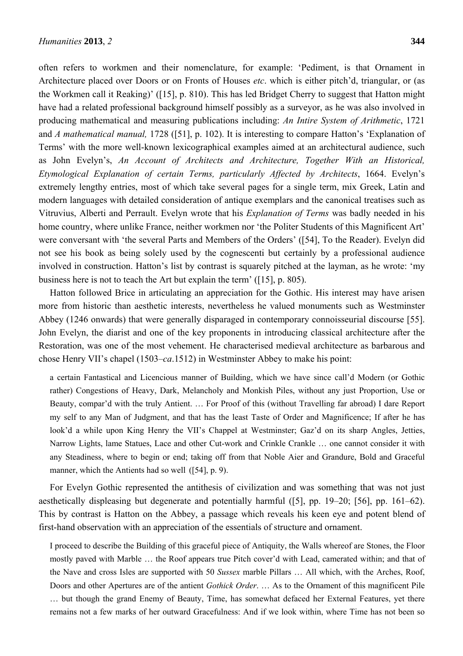often refers to workmen and their nomenclature, for example: 'Pediment, is that Ornament in Architecture placed over Doors or on Fronts of Houses *etc*. which is either pitch'd, triangular, or (as the Workmen call it Reaking)' ([15], p. 810). This has led Bridget Cherry to suggest that Hatton might have had a related professional background himself possibly as a surveyor, as he was also involved in producing mathematical and measuring publications including: *An Intire System of Arithmetic*, 1721 and *A mathematical manual,* 1728 ([51], p. 102). It is interesting to compare Hatton's 'Explanation of Terms' with the more well-known lexicographical examples aimed at an architectural audience, such as John Evelyn's, *An Account of Architects and Architecture, Together With an Historical, Etymological Explanation of certain Terms, particularly Affected by Architects*, 1664. Evelyn's extremely lengthy entries, most of which take several pages for a single term, mix Greek, Latin and modern languages with detailed consideration of antique exemplars and the canonical treatises such as Vitruvius, Alberti and Perrault. Evelyn wrote that his *Explanation of Terms* was badly needed in his home country, where unlike France, neither workmen nor 'the Politer Students of this Magnificent Art' were conversant with 'the several Parts and Members of the Orders' ([54], To the Reader). Evelyn did not see his book as being solely used by the cognescenti but certainly by a professional audience involved in construction. Hatton's list by contrast is squarely pitched at the layman, as he wrote: 'my business here is not to teach the Art but explain the term' ([15], p. 805).

Hatton followed Brice in articulating an appreciation for the Gothic. His interest may have arisen more from historic than aesthetic interests, nevertheless he valued monuments such as Westminster Abbey (1246 onwards) that were generally disparaged in contemporary connoisseurial discourse [55]. John Evelyn, the diarist and one of the key proponents in introducing classical architecture after the Restoration, was one of the most vehement. He characterised medieval architecture as barbarous and chose Henry VII's chapel (1503–*ca*.1512) in Westminster Abbey to make his point:

a certain Fantastical and Licencious manner of Building, which we have since call'd Modern (or Gothic rather) Congestions of Heavy, Dark, Melancholy and Monkish Piles, without any just Proportion, Use or Beauty, compar'd with the truly Antient. … For Proof of this (without Travelling far abroad) I dare Report my self to any Man of Judgment, and that has the least Taste of Order and Magnificence; If after he has look'd a while upon King Henry the VII's Chappel at Westminster; Gaz'd on its sharp Angles, Jetties, Narrow Lights, lame Statues, Lace and other Cut-work and Crinkle Crankle … one cannot consider it with any Steadiness, where to begin or end; taking off from that Noble Aier and Grandure, Bold and Graceful manner, which the Antients had so well ([54], p. 9).

For Evelyn Gothic represented the antithesis of civilization and was something that was not just aesthetically displeasing but degenerate and potentially harmful ([5], pp. 19–20; [56], pp. 161–62). This by contrast is Hatton on the Abbey, a passage which reveals his keen eye and potent blend of first-hand observation with an appreciation of the essentials of structure and ornament.

I proceed to describe the Building of this graceful piece of Antiquity, the Walls whereof are Stones, the Floor mostly paved with Marble … the Roof appears true Pitch cover'd with Lead, camerated within; and that of the Nave and cross Isles are supported with 50 *Sussex* marble Pillars … All which, with the Arches, Roof, Doors and other Apertures are of the antient *Gothick Order*. … As to the Ornament of this magnificent Pile … but though the grand Enemy of Beauty, Time, has somewhat defaced her External Features, yet there remains not a few marks of her outward Gracefulness: And if we look within, where Time has not been so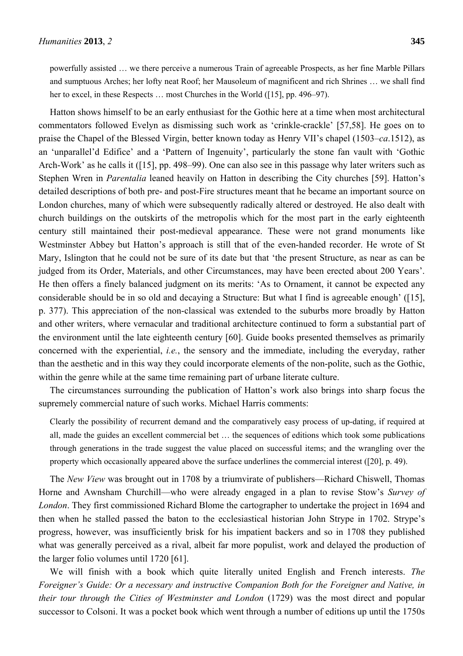powerfully assisted … we there perceive a numerous Train of agreeable Prospects, as her fine Marble Pillars and sumptuous Arches; her lofty neat Roof; her Mausoleum of magnificent and rich Shrines … we shall find her to excel, in these Respects ... most Churches in the World ([15], pp. 496–97).

Hatton shows himself to be an early enthusiast for the Gothic here at a time when most architectural commentators followed Evelyn as dismissing such work as 'crinkle-crackle' [57,58]. He goes on to praise the Chapel of the Blessed Virgin, better known today as Henry VII's chapel (1503–*ca*.1512), as an 'unparallel'd Edifice' and a 'Pattern of Ingenuity', particularly the stone fan vault with 'Gothic Arch-Work' as he calls it ([15], pp. 498–99). One can also see in this passage why later writers such as Stephen Wren in *Parentalia* leaned heavily on Hatton in describing the City churches [59]. Hatton's detailed descriptions of both pre- and post-Fire structures meant that he became an important source on London churches, many of which were subsequently radically altered or destroyed. He also dealt with church buildings on the outskirts of the metropolis which for the most part in the early eighteenth century still maintained their post-medieval appearance. These were not grand monuments like Westminster Abbey but Hatton's approach is still that of the even-handed recorder. He wrote of St Mary, Islington that he could not be sure of its date but that 'the present Structure, as near as can be judged from its Order, Materials, and other Circumstances, may have been erected about 200 Years'. He then offers a finely balanced judgment on its merits: 'As to Ornament, it cannot be expected any considerable should be in so old and decaying a Structure: But what I find is agreeable enough' ([15], p. 377). This appreciation of the non-classical was extended to the suburbs more broadly by Hatton and other writers, where vernacular and traditional architecture continued to form a substantial part of the environment until the late eighteenth century [60]. Guide books presented themselves as primarily concerned with the experiential, *i.e.*, the sensory and the immediate, including the everyday, rather than the aesthetic and in this way they could incorporate elements of the non-polite, such as the Gothic, within the genre while at the same time remaining part of urbane literate culture.

The circumstances surrounding the publication of Hatton's work also brings into sharp focus the supremely commercial nature of such works. Michael Harris comments:

Clearly the possibility of recurrent demand and the comparatively easy process of up-dating, if required at all, made the guides an excellent commercial bet … the sequences of editions which took some publications through generations in the trade suggest the value placed on successful items; and the wrangling over the property which occasionally appeared above the surface underlines the commercial interest ([20], p. 49).

The *New View* was brought out in 1708 by a triumvirate of publishers—Richard Chiswell, Thomas Horne and Awnsham Churchill—who were already engaged in a plan to revise Stow's *Survey of London*. They first commissioned Richard Blome the cartographer to undertake the project in 1694 and then when he stalled passed the baton to the ecclesiastical historian John Strype in 1702. Strype's progress, however, was insufficiently brisk for his impatient backers and so in 1708 they published what was generally perceived as a rival, albeit far more populist, work and delayed the production of the larger folio volumes until 1720 [61].

We will finish with a book which quite literally united English and French interests. *The Foreigner's Guide: Or a necessary and instructive Companion Both for the Foreigner and Native, in their tour through the Cities of Westminster and London* (1729) was the most direct and popular successor to Colsoni. It was a pocket book which went through a number of editions up until the 1750s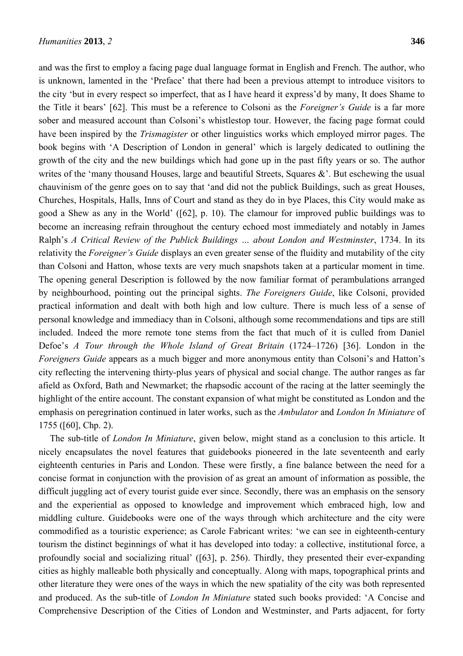and was the first to employ a facing page dual language format in English and French. The author, who is unknown, lamented in the 'Preface' that there had been a previous attempt to introduce visitors to the city 'but in every respect so imperfect, that as I have heard it express'd by many, It does Shame to the Title it bears' [62]. This must be a reference to Colsoni as the *Foreigner's Guide* is a far more sober and measured account than Colsoni's whistlestop tour. However, the facing page format could have been inspired by the *Trismagister* or other linguistics works which employed mirror pages. The book begins with 'A Description of London in general' which is largely dedicated to outlining the growth of the city and the new buildings which had gone up in the past fifty years or so. The author writes of the 'many thousand Houses, large and beautiful Streets, Squares  $\&$ '. But eschewing the usual chauvinism of the genre goes on to say that 'and did not the publick Buildings, such as great Houses, Churches, Hospitals, Halls, Inns of Court and stand as they do in bye Places, this City would make as good a Shew as any in the World' ([62], p. 10). The clamour for improved public buildings was to become an increasing refrain throughout the century echoed most immediately and notably in James Ralph's *A Critical Review of the Publick Buildings … about London and Westminster*, 1734. In its relativity the *Foreigner's Guide* displays an even greater sense of the fluidity and mutability of the city than Colsoni and Hatton, whose texts are very much snapshots taken at a particular moment in time. The opening general Description is followed by the now familiar format of perambulations arranged by neighbourhood, pointing out the principal sights. *The Foreigners Guide*, like Colsoni, provided practical information and dealt with both high and low culture. There is much less of a sense of personal knowledge and immediacy than in Colsoni, although some recommendations and tips are still included. Indeed the more remote tone stems from the fact that much of it is culled from Daniel Defoe's *A Tour through the Whole Island of Great Britain* (1724–1726) [36]. London in the *Foreigners Guide* appears as a much bigger and more anonymous entity than Colsoni's and Hatton's city reflecting the intervening thirty-plus years of physical and social change. The author ranges as far afield as Oxford, Bath and Newmarket; the rhapsodic account of the racing at the latter seemingly the highlight of the entire account. The constant expansion of what might be constituted as London and the emphasis on peregrination continued in later works, such as the *Ambulator* and *London In Miniature* of 1755 ([60], Chp. 2).

The sub-title of *London In Miniature*, given below, might stand as a conclusion to this article. It nicely encapsulates the novel features that guidebooks pioneered in the late seventeenth and early eighteenth centuries in Paris and London. These were firstly, a fine balance between the need for a concise format in conjunction with the provision of as great an amount of information as possible, the difficult juggling act of every tourist guide ever since. Secondly, there was an emphasis on the sensory and the experiential as opposed to knowledge and improvement which embraced high, low and middling culture. Guidebooks were one of the ways through which architecture and the city were commodified as a touristic experience; as Carole Fabricant writes: 'we can see in eighteenth-century tourism the distinct beginnings of what it has developed into today: a collective, institutional force, a profoundly social and socializing ritual' ([63], p. 256). Thirdly, they presented their ever-expanding cities as highly malleable both physically and conceptually. Along with maps, topographical prints and other literature they were ones of the ways in which the new spatiality of the city was both represented and produced. As the sub-title of *London In Miniature* stated such books provided: 'A Concise and Comprehensive Description of the Cities of London and Westminster, and Parts adjacent, for forty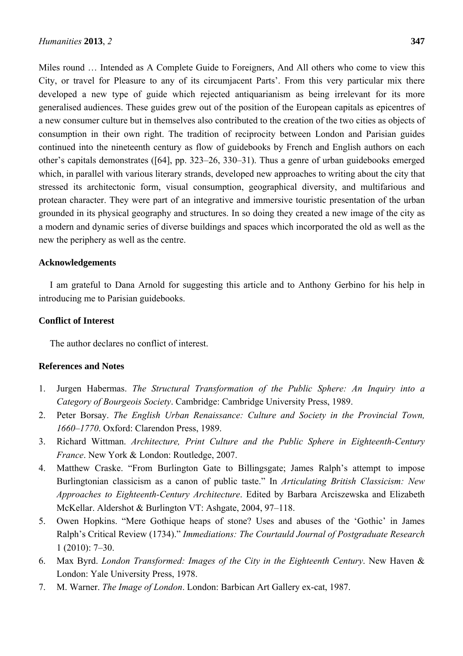Miles round … Intended as A Complete Guide to Foreigners, And All others who come to view this City, or travel for Pleasure to any of its circumjacent Parts'. From this very particular mix there developed a new type of guide which rejected antiquarianism as being irrelevant for its more generalised audiences. These guides grew out of the position of the European capitals as epicentres of a new consumer culture but in themselves also contributed to the creation of the two cities as objects of consumption in their own right. The tradition of reciprocity between London and Parisian guides continued into the nineteenth century as flow of guidebooks by French and English authors on each other's capitals demonstrates ([64], pp. 323–26, 330–31). Thus a genre of urban guidebooks emerged which, in parallel with various literary strands, developed new approaches to writing about the city that stressed its architectonic form, visual consumption, geographical diversity, and multifarious and protean character. They were part of an integrative and immersive touristic presentation of the urban grounded in its physical geography and structures. In so doing they created a new image of the city as a modern and dynamic series of diverse buildings and spaces which incorporated the old as well as the new the periphery as well as the centre.

## **Acknowledgements**

I am grateful to Dana Arnold for suggesting this article and to Anthony Gerbino for his help in introducing me to Parisian guidebooks.

## **Conflict of Interest**

The author declares no conflict of interest.

## **References and Notes**

- 1. Jurgen Habermas. *The Structural Transformation of the Public Sphere: An Inquiry into a Category of Bourgeois Society*. Cambridge: Cambridge University Press, 1989.
- 2. Peter Borsay. *The English Urban Renaissance: Culture and Society in the Provincial Town, 1660–1770*. Oxford: Clarendon Press, 1989.
- 3. Richard Wittman. *Architecture, Print Culture and the Public Sphere in Eighteenth-Century France*. New York & London: Routledge, 2007.
- 4. Matthew Craske. "From Burlington Gate to Billingsgate; James Ralph's attempt to impose Burlingtonian classicism as a canon of public taste." In *Articulating British Classicism: New Approaches to Eighteenth-Century Architecture*. Edited by Barbara Arciszewska and Elizabeth McKellar. Aldershot & Burlington VT: Ashgate, 2004, 97–118.
- 5. Owen Hopkins. "Mere Gothique heaps of stone? Uses and abuses of the 'Gothic' in James Ralph's Critical Review (1734)." *Immediations: The Courtauld Journal of Postgraduate Research* 1 (2010): 7–30.
- 6. Max Byrd. *London Transformed: Images of the City in the Eighteenth Century*. New Haven & London: Yale University Press, 1978.
- 7. M. Warner. *The Image of London*. London: Barbican Art Gallery ex-cat, 1987.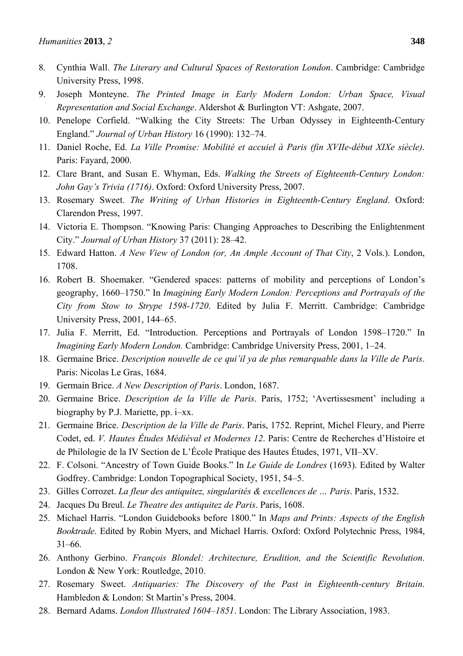- 8. Cynthia Wall. *The Literary and Cultural Spaces of Restoration London*. Cambridge: Cambridge University Press, 1998.
- 9. Joseph Monteyne. *The Printed Image in Early Modern London: Urban Space, Visual Representation and Social Exchange*. Aldershot & Burlington VT: Ashgate, 2007.
- 10. Penelope Corfield. "Walking the City Streets: The Urban Odyssey in Eighteenth-Century England." *Journal of Urban History* 16 (1990): 132–74.
- 11. Daniel Roche, Ed. *La Ville Promise: Mobilité et accuiel à Paris (fin XVIIe-début XIXe siècle)*. Paris: Fayard, 2000.
- 12. Clare Brant, and Susan E. Whyman, Eds. *Walking the Streets of Eighteenth-Century London: John Gay's Trivia (1716)*. Oxford: Oxford University Press, 2007.
- 13. Rosemary Sweet. *The Writing of Urban Histories in Eighteenth-Century England*. Oxford: Clarendon Press, 1997.
- 14. Victoria E. Thompson. "Knowing Paris: Changing Approaches to Describing the Enlightenment City." *Journal of Urban History* 37 (2011): 28–42.
- 15. Edward Hatton. *A New View of London (or, An Ample Account of That City*, 2 Vols.). London, 1708.
- 16. Robert B. Shoemaker. "Gendered spaces: patterns of mobility and perceptions of London's geography, 1660–1750." In *Imagining Early Modern London: Perceptions and Portrayals of the City from Stow to Strype 1598-1720*. Edited by Julia F. Merritt. Cambridge: Cambridge University Press, 2001, 144–65.
- 17. Julia F. Merritt, Ed. "Introduction. Perceptions and Portrayals of London 1598–1720." In *Imagining Early Modern London.* Cambridge: Cambridge University Press, 2001, 1–24.
- 18. Germaine Brice. *Description nouvelle de ce qui'il ya de plus remarquable dans la Ville de Paris*. Paris: Nicolas Le Gras, 1684.
- 19. Germain Brice. *A New Description of Paris*. London, 1687.
- 20. Germaine Brice. *Description de la Ville de Paris*. Paris, 1752; 'Avertissesment' including a biography by P.J. Mariette, pp. i–xx.
- 21. Germaine Brice. *Description de la Ville de Paris*. Paris, 1752. Reprint, Michel Fleury, and Pierre Codet, ed. *V. Hautes Ếtudes Médiéval et Modernes 12*. Paris: Centre de Recherches d'Histoire et de Philologie de la IV Section de L'Ếcole Pratique des Hautes Ếtudes, 1971, VII–XV.
- 22. F. Colsoni. "Ancestry of Town Guide Books." In *Le Guide de Londres* (1693). Edited by Walter Godfrey. Cambridge: London Topographical Society, 1951, 54–5.
- 23. Gilles Corrozet. *La fleur des antiquitez, singularités & excellences de … Paris*. Paris, 1532.
- 24. Jacques Du Breul. *Le Theatre des antiquitez de Paris*. Paris, 1608.
- 25. Michael Harris. "London Guidebooks before 1800." In *Maps and Prints: Aspects of the English Booktrade*. Edited by Robin Myers, and Michael Harris. Oxford: Oxford Polytechnic Press, 1984,  $31–66$
- 26. Anthony Gerbino. *François Blondel: Architecture, Erudition, and the Scientific Revolution*. London & New York: Routledge, 2010.
- 27. Rosemary Sweet. *Antiquaries: The Discovery of the Past in Eighteenth-century Britain*. Hambledon & London: St Martin's Press, 2004.
- 28. Bernard Adams. *London Illustrated 1604–1851*. London: The Library Association, 1983.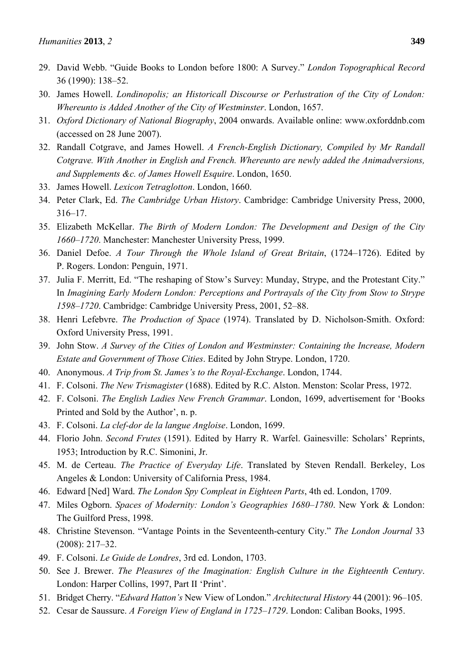- 29. David Webb. "Guide Books to London before 1800: A Survey." *London Topographical Record* 36 (1990): 138–52.
- 30. James Howell. *Londinopolis; an Historicall Discourse or Perlustration of the City of London: Whereunto is Added Another of the City of Westminster*. London, 1657.
- 31. *Oxford Dictionary of National Biography*, 2004 onwards. Available online: www.oxforddnb.com (accessed on 28 June 2007).
- 32. Randall Cotgrave, and James Howell. *A French-English Dictionary, Compiled by Mr Randall Cotgrave. With Another in English and French. Whereunto are newly added the Animadversions, and Supplements &c. of James Howell Esquire*. London, 1650.
- 33. James Howell. *Lexicon Tetraglotton*. London, 1660.
- 34. Peter Clark, Ed. *The Cambridge Urban History*. Cambridge: Cambridge University Press, 2000, 316–17.
- 35. Elizabeth McKellar. *The Birth of Modern London: The Development and Design of the City 1660–1720*. Manchester: Manchester University Press, 1999.
- 36. Daniel Defoe. *A Tour Through the Whole Island of Great Britain*, (1724–1726). Edited by P. Rogers. London: Penguin, 1971.
- 37. Julia F. Merritt, Ed. "The reshaping of Stow's Survey: Munday, Strype, and the Protestant City." In *Imagining Early Modern London: Perceptions and Portrayals of the City from Stow to Strype 1598–1720*. Cambridge: Cambridge University Press, 2001, 52–88.
- 38. Henri Lefebvre. *The Production of Space* (1974). Translated by D. Nicholson-Smith. Oxford: Oxford University Press, 1991.
- 39. John Stow. *A Survey of the Cities of London and Westminster: Containing the Increase, Modern Estate and Government of Those Cities*. Edited by John Strype. London, 1720.
- 40. Anonymous. *A Trip from St. James's to the Royal-Exchange*. London, 1744.
- 41. F. Colsoni. *The New Trismagister* (1688). Edited by R.C. Alston. Menston: Scolar Press, 1972.
- 42. F. Colsoni. *The English Ladies New French Grammar*. London, 1699, advertisement for 'Books Printed and Sold by the Author', n. p.
- 43. F. Colsoni. *La clef-dor de la langue Angloise*. London, 1699.
- 44. Florio John. *Second Frutes* (1591). Edited by Harry R. Warfel. Gainesville: Scholars' Reprints, 1953; Introduction by R.C. Simonini, Jr.
- 45. M. de Certeau. *The Practice of Everyday Life*. Translated by Steven Rendall. Berkeley, Los Angeles & London: University of California Press, 1984.
- 46. Edward [Ned] Ward. *The London Spy Compleat in Eighteen Parts*, 4th ed. London, 1709.
- 47. Miles Ogborn. *Spaces of Modernity: London's Geographies 1680–1780*. New York & London: The Guilford Press, 1998.
- 48. Christine Stevenson. "Vantage Points in the Seventeenth-century City." *The London Journal* 33 (2008): 217–32.
- 49. F. Colsoni. *Le Guide de Londres*, 3rd ed. London, 1703.
- 50. See J. Brewer. *The Pleasures of the Imagination: English Culture in the Eighteenth Century*. London: Harper Collins, 1997, Part II 'Print'.
- 51. Bridget Cherry. "*Edward Hatton's* New View of London." *Architectural History* 44 (2001): 96–105.
- 52. Cesar de Saussure. *A Foreign View of England in 1725–1729*. London: Caliban Books, 1995.